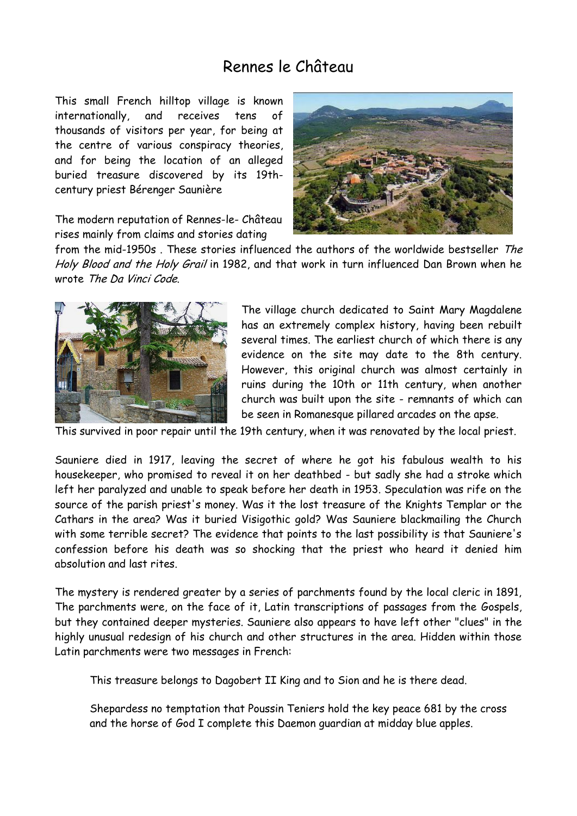## Rennes le Château

This small French hilltop village is known internationally, and receives tens of thousands of visitors per year, for being at the centre of various conspiracy theories, and for being the location of an alleged buried treasure discovered by its 19thcentury priest Bérenger Saunière

The modern reputation of Rennes-le- Château rises mainly from claims and stories dating



from the mid-1950s . These stories influenced the authors of the worldwide bestseller The Holy Blood and the Holy Grail in 1982, and that work in turn influenced Dan Brown when he wrote The Da Vinci Code.



The village church dedicated to Saint Mary Magdalene has an extremely complex history, having been rebuilt several times. The earliest church of which there is any evidence on the site may date to the 8th century. However, this original church was almost certainly in ruins during the 10th or 11th century, when another church was built upon the site - remnants of which can be seen in Romanesque pillared arcades on the apse.

This survived in poor repair until the 19th century, when it was renovated by the local priest.

Sauniere died in 1917, leaving the secret of where he got his fabulous wealth to his housekeeper, who promised to reveal it on her deathbed - but sadly she had a stroke which left her paralyzed and unable to speak before her death in 1953. Speculation was rife on the source of the parish priest's money. Was it the lost treasure of the Knights Templar or the Cathars in the area? Was it buried Visigothic gold? Was Sauniere blackmailing the Church with some terrible secret? The evidence that points to the last possibility is that Sauniere's confession before his death was so shocking that the priest who heard it denied him absolution and last rites.

The mystery is rendered greater by a series of parchments found by the local cleric in 1891, The parchments were, on the face of it, Latin transcriptions of passages from the Gospels, but they contained deeper mysteries. Sauniere also appears to have left other "clues" in the highly unusual redesign of his church and other structures in the area. Hidden within those Latin parchments were two messages in French:

This treasure belongs to Dagobert II King and to Sion and he is there dead.

Shepardess no temptation that Poussin Teniers hold the key peace 681 by the cross and the horse of God I complete this Daemon guardian at midday blue apples.